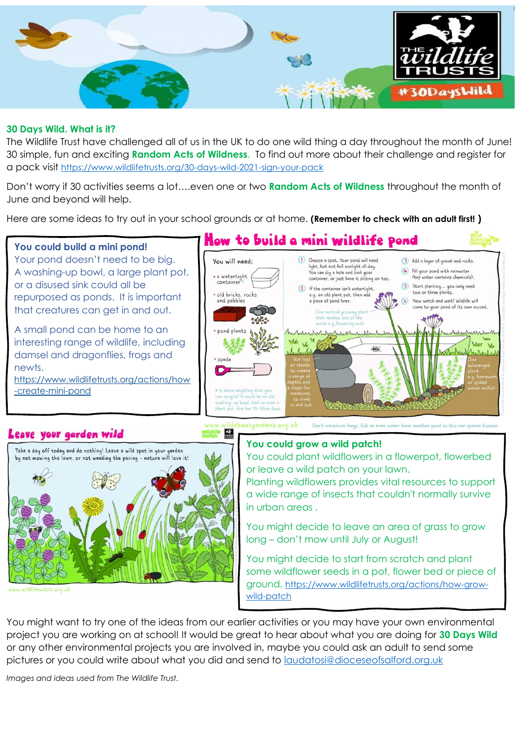

## **30 Days Wild. What is it?**

The Wildlife Trust have challenged all of us in the UK to do one wild thing a day throughout the month of June! 30 simple, fun and exciting **Random Acts of Wildness**. To find out more about their challenge and register for a pack visit <https://www.wildlifetrusts.org/30-days-wild-2021-sign-your-pack>

Don't worry if 30 activities seems a lot….even one or two **Random Acts of Wildness** throughout the month of June and beyond will help.

Here are some ideas to try out in your school grounds or at home. **(Remember to check with an adult first! )**



Planting wildflowers provides vital resources to support a wide range of insects that couldn't normally survive in urban areas .

You might decide to leave an area of grass to grow long – don't mow until July or August!

You might decide to start from scratch and plant some wildflower seeds in a pot, flower bed or piece of ground. [https://www.wildlifetrusts.org/actions/how-grow](https://www.wildlifetrusts.org/actions/how-grow-wild-patch)[wild-patch](https://www.wildlifetrusts.org/actions/how-grow-wild-patch)

You might want to try one of the ideas from our earlier activities or you may have your own environmental project you are working on at school! It would be great to hear about what you are doing for **30 Days Wild** or any other environmental projects you are involved in, maybe you could ask an adult to send some pictures or you could write about what you did and send to [laudatosi@dioceseofsalford.org.uk](mailto:laudatosi@dioceseofsalford.org.uk)

*Images and ideas used from The Wildlife Trust.*

## Leave your garden wild